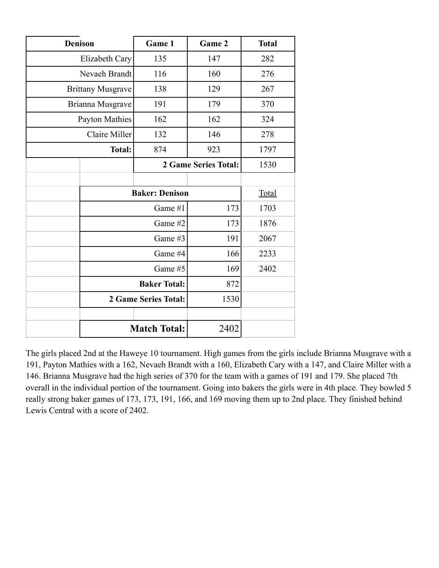| <b>Denison</b>           |                       | Game 1                      | Game 2 | <b>Total</b> |
|--------------------------|-----------------------|-----------------------------|--------|--------------|
| Elizabeth Cary           |                       | 135                         | 147    | 282          |
| Nevaeh Brandt            |                       | 116                         | 160    | 276          |
| <b>Brittany Musgrave</b> |                       | 138                         | 129    | 267          |
| Brianna Musgrave         |                       | 191                         | 179    | 370          |
| Payton Mathies           |                       | 162                         | 162    | 324          |
| Claire Miller            |                       | 132                         | 146    | 278          |
| <b>Total:</b>            |                       | 874                         | 923    | 1797         |
|                          |                       | <b>2 Game Series Total:</b> |        |              |
|                          |                       |                             |        |              |
|                          | <b>Baker: Denison</b> |                             |        |              |
|                          | 173<br>Game #1        |                             |        | 1703         |
|                          |                       | Game #2                     | 173    | 1876         |
|                          |                       | Game #3                     | 191    | 2067         |
| Game #4                  |                       |                             | 166    | 2233         |
| Game #5<br>169           |                       |                             |        | 2402         |
| <b>Baker Total:</b>      |                       |                             | 872    |              |
|                          |                       | <b>2 Game Series Total:</b> | 1530   |              |
|                          |                       |                             |        |              |
|                          |                       | <b>Match Total:</b>         | 2402   |              |

The girls placed 2nd at the Haweye 10 tournament. High games from the girls include Brianna Musgrave with a 191, Payton Mathies with a 162, Nevaeh Brandt with a 160, Elizabeth Cary with a 147, and Claire Miller with a 146. Brianna Musgrave had the high series of 370 for the team with a games of 191 and 179. She placed 7th overall in the individual portion of the tournament. Going into bakers the girls were in 4th place. They bowled 5 really strong baker games of 173, 173, 191, 166, and 169 moving them up to 2nd place. They finished behind Lewis Central with a score of 2402.